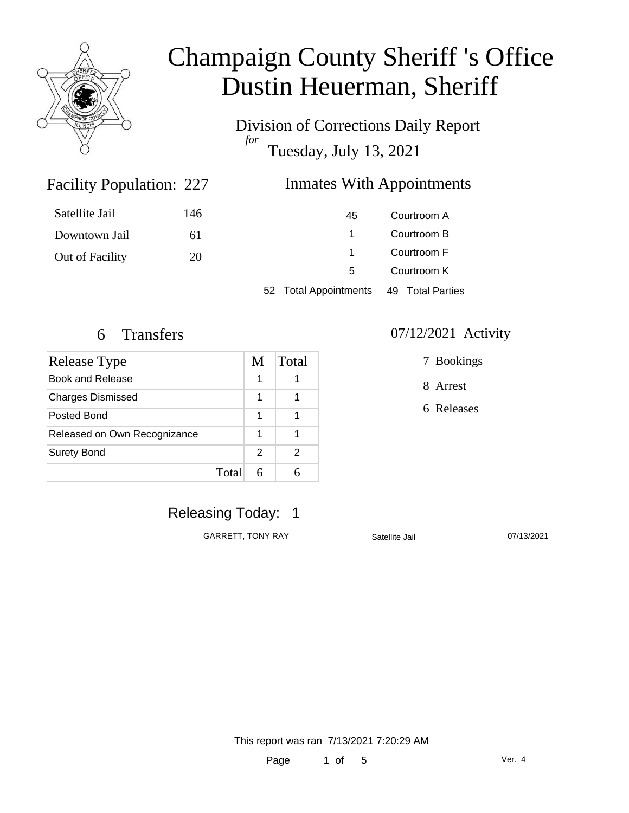

Division of Corrections Daily Report *for* Tuesday, July 13, 2021

### Facility Population: 227

### **Inmates With Appointments**

| Satellite Jail  | 146 | 45                    | Courtroom A      |
|-----------------|-----|-----------------------|------------------|
| Downtown Jail   | 61  |                       | Courtroom B      |
| Out of Facility | 20  |                       | Courtroom F      |
|                 |     | 5                     | Courtroom K      |
|                 |     | 52 Total Appointments | 49 Total Parties |

| Release Type                 |   | Total |
|------------------------------|---|-------|
| Book and Release             |   |       |
| <b>Charges Dismissed</b>     | 1 |       |
| Posted Bond                  | 1 |       |
| Released on Own Recognizance |   |       |
| <b>Surety Bond</b>           | 2 |       |
| Total                        |   |       |

#### 6 Transfers 07/12/2021 Activity

7 Bookings

8 Arrest

6 Releases

Releasing Today: 1

GARRETT, TONY RAY Satellite Jail 07/13/2021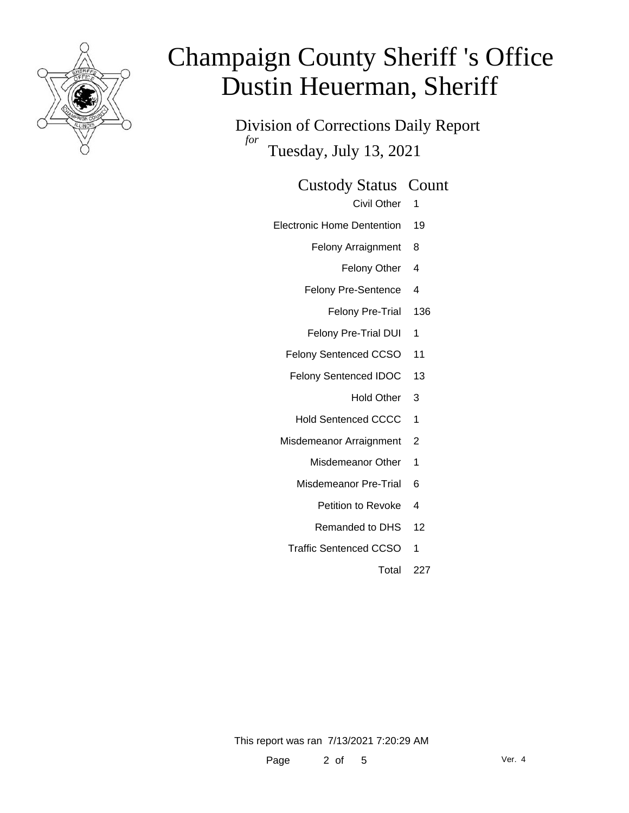

Division of Corrections Daily Report *for* Tuesday, July 13, 2021

#### Custody Status Count

Civil Other 1

- Electronic Home Dentention 19
	- Felony Arraignment 8
		- Felony Other 4
	- Felony Pre-Sentence 4
		- Felony Pre-Trial 136
	- Felony Pre-Trial DUI 1
	- Felony Sentenced CCSO 11
	- Felony Sentenced IDOC 13
		- Hold Other 3
		- Hold Sentenced CCCC 1
	- Misdemeanor Arraignment 2
		- Misdemeanor Other 1
		- Misdemeanor Pre-Trial 6
			- Petition to Revoke 4
			- Remanded to DHS 12
		- Traffic Sentenced CCSO 1
			- Total 227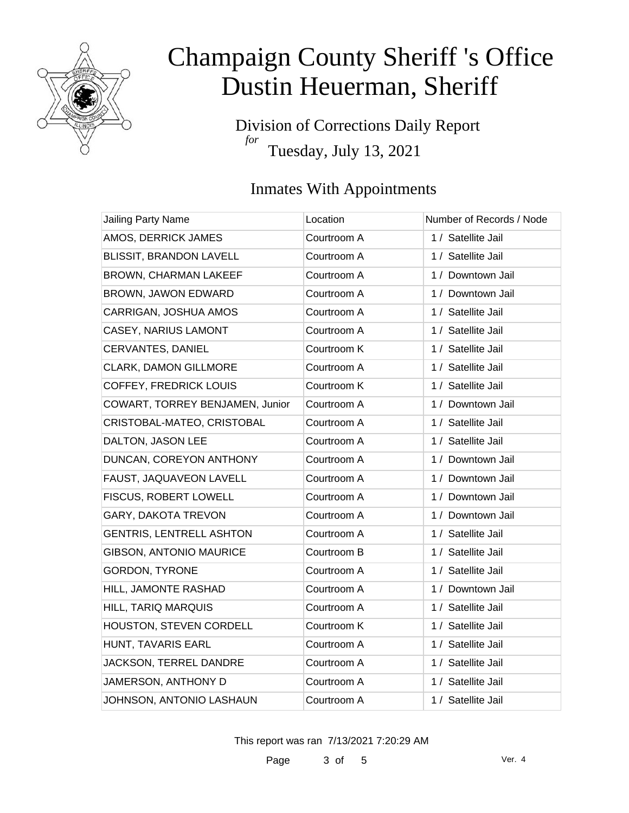

Division of Corrections Daily Report *for* Tuesday, July 13, 2021

### Inmates With Appointments

| Jailing Party Name              | Location    | Number of Records / Node |
|---------------------------------|-------------|--------------------------|
| AMOS, DERRICK JAMES             | Courtroom A | 1 / Satellite Jail       |
| BLISSIT, BRANDON LAVELL         | Courtroom A | 1 / Satellite Jail       |
| <b>BROWN, CHARMAN LAKEEF</b>    | Courtroom A | 1 / Downtown Jail        |
| BROWN, JAWON EDWARD             | Courtroom A | 1 / Downtown Jail        |
| CARRIGAN, JOSHUA AMOS           | Courtroom A | 1 / Satellite Jail       |
| <b>CASEY, NARIUS LAMONT</b>     | Courtroom A | 1 / Satellite Jail       |
| CERVANTES, DANIEL               | Courtroom K | 1 / Satellite Jail       |
| <b>CLARK, DAMON GILLMORE</b>    | Courtroom A | 1 / Satellite Jail       |
| <b>COFFEY, FREDRICK LOUIS</b>   | Courtroom K | 1 / Satellite Jail       |
| COWART, TORREY BENJAMEN, Junior | Courtroom A | 1 / Downtown Jail        |
| CRISTOBAL-MATEO, CRISTOBAL      | Courtroom A | 1 / Satellite Jail       |
| DALTON, JASON LEE               | Courtroom A | 1 / Satellite Jail       |
| DUNCAN, COREYON ANTHONY         | Courtroom A | 1 / Downtown Jail        |
| FAUST, JAQUAVEON LAVELL         | Courtroom A | 1 / Downtown Jail        |
| FISCUS, ROBERT LOWELL           | Courtroom A | 1 / Downtown Jail        |
| GARY, DAKOTA TREVON             | Courtroom A | 1 / Downtown Jail        |
| <b>GENTRIS, LENTRELL ASHTON</b> | Courtroom A | 1 / Satellite Jail       |
| <b>GIBSON, ANTONIO MAURICE</b>  | Courtroom B | 1 / Satellite Jail       |
| <b>GORDON, TYRONE</b>           | Courtroom A | 1 / Satellite Jail       |
| HILL, JAMONTE RASHAD            | Courtroom A | 1 / Downtown Jail        |
| <b>HILL, TARIQ MARQUIS</b>      | Courtroom A | 1 / Satellite Jail       |
| HOUSTON, STEVEN CORDELL         | Courtroom K | 1 / Satellite Jail       |
| HUNT, TAVARIS EARL              | Courtroom A | 1 / Satellite Jail       |
| JACKSON, TERREL DANDRE          | Courtroom A | 1 / Satellite Jail       |
| JAMERSON, ANTHONY D             | Courtroom A | 1 / Satellite Jail       |
| JOHNSON, ANTONIO LASHAUN        | Courtroom A | 1 / Satellite Jail       |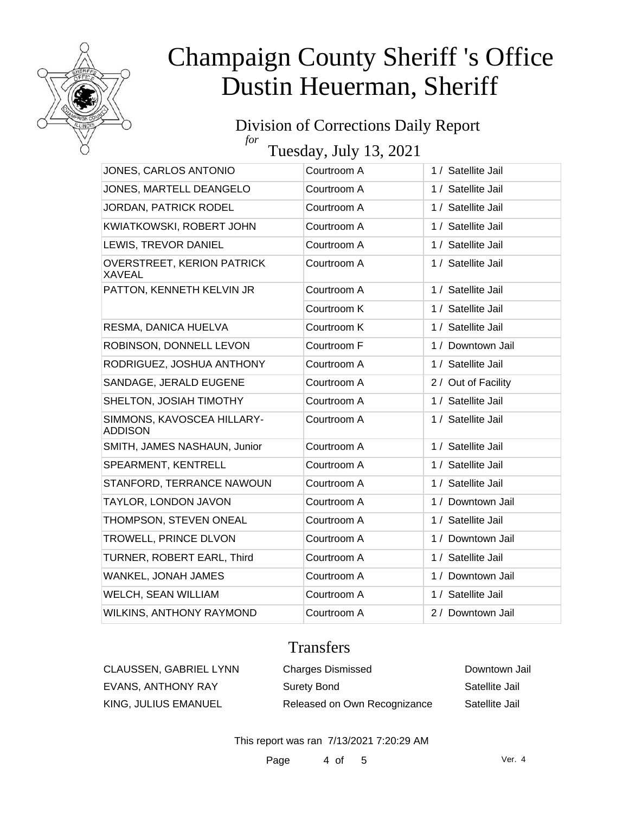

#### Division of Corrections Daily Report *for*

Tuesday, July 13, 2021

| JONES, CARLOS ANTONIO                              | Courtroom A | 1 / Satellite Jail  |
|----------------------------------------------------|-------------|---------------------|
| JONES, MARTELL DEANGELO                            | Courtroom A | 1 / Satellite Jail  |
| JORDAN, PATRICK RODEL                              | Courtroom A | 1 / Satellite Jail  |
| KWIATKOWSKI, ROBERT JOHN                           | Courtroom A | 1 / Satellite Jail  |
| LEWIS, TREVOR DANIEL                               | Courtroom A | 1 / Satellite Jail  |
| <b>OVERSTREET, KERION PATRICK</b><br><b>XAVEAL</b> | Courtroom A | 1 / Satellite Jail  |
| PATTON, KENNETH KELVIN JR                          | Courtroom A | 1 / Satellite Jail  |
|                                                    | Courtroom K | 1 / Satellite Jail  |
| RESMA, DANICA HUELVA                               | Courtroom K | 1 / Satellite Jail  |
| ROBINSON, DONNELL LEVON                            | Courtroom F | 1 / Downtown Jail   |
| RODRIGUEZ, JOSHUA ANTHONY                          | Courtroom A | 1 / Satellite Jail  |
| SANDAGE, JERALD EUGENE                             | Courtroom A | 2 / Out of Facility |
| SHELTON, JOSIAH TIMOTHY                            | Courtroom A | 1 / Satellite Jail  |
| SIMMONS, KAVOSCEA HILLARY-<br><b>ADDISON</b>       | Courtroom A | 1 / Satellite Jail  |
| SMITH, JAMES NASHAUN, Junior                       | Courtroom A | 1 / Satellite Jail  |
| SPEARMENT, KENTRELL                                | Courtroom A | 1 / Satellite Jail  |
| STANFORD, TERRANCE NAWOUN                          | Courtroom A | 1 / Satellite Jail  |
| TAYLOR, LONDON JAVON                               | Courtroom A | 1 / Downtown Jail   |
| THOMPSON, STEVEN ONEAL                             | Courtroom A | 1 / Satellite Jail  |
| TROWELL, PRINCE DLVON                              | Courtroom A | 1 / Downtown Jail   |
| TURNER, ROBERT EARL, Third                         | Courtroom A | 1 / Satellite Jail  |
| WANKEL, JONAH JAMES                                | Courtroom A | 1 / Downtown Jail   |
| WELCH, SEAN WILLIAM                                | Courtroom A | 1 / Satellite Jail  |
| <b>WILKINS, ANTHONY RAYMOND</b>                    | Courtroom A | 2 / Downtown Jail   |

### Transfers

| CLAUSSEN, GABRIEL LYNN | <b>Charges Dismissed</b>     | Downtown Jail  |
|------------------------|------------------------------|----------------|
| EVANS, ANTHONY RAY     | Surety Bond                  | Satellite Jail |
| KING, JULIUS EMANUEL   | Released on Own Recognizance | Satellite Jail |